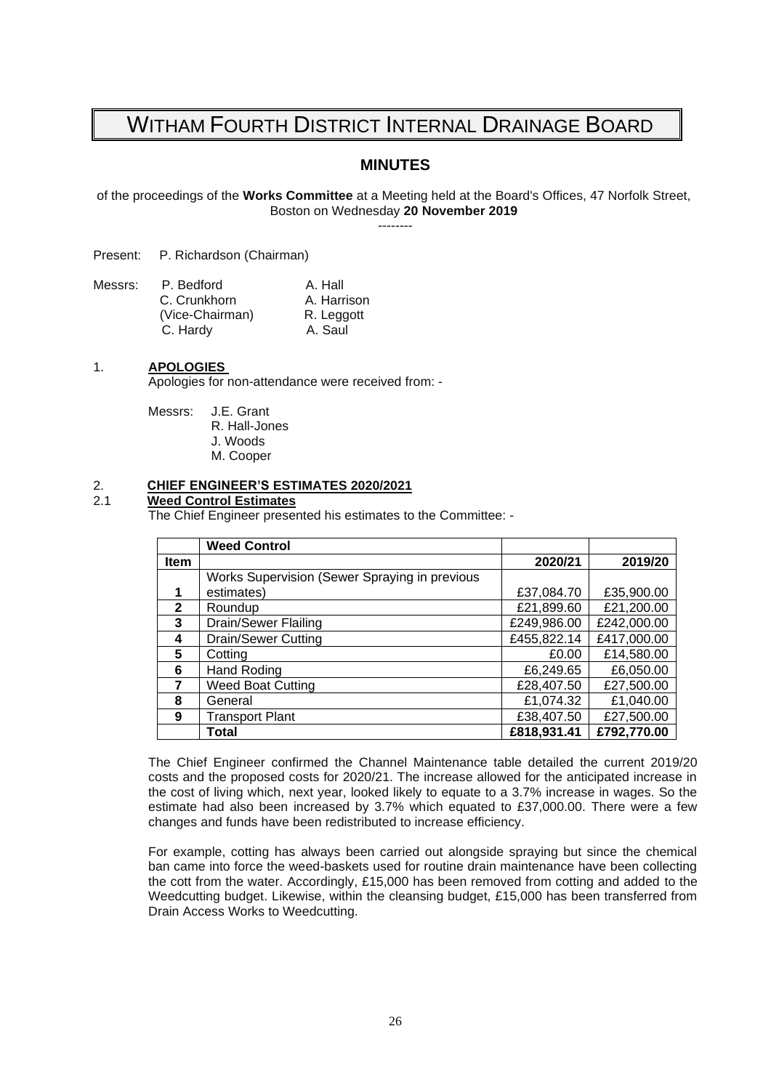# WITHAM FOURTH DISTRICT INTERNAL DRAINAGE BOARD

# **MINUTES**

of the proceedings of the **Works Committee** at a Meeting held at the Board's Offices, 47 Norfolk Street, Boston on Wednesday **20 November 2019** --------

Present: P. Richardson (Chairman)

| Messrs: | P. Bedford      | A. Hall     |
|---------|-----------------|-------------|
|         | C. Crunkhorn    | A. Harrison |
|         | (Vice-Chairman) | R. Leggott  |
|         | C. Hardy        | A. Saul     |

#### 1. **APOLOGIES**

Apologies for non-attendance were received from: -

Messrs: J.E. Grant R. Hall-Jones J. Woods M. Cooper

#### 2. **CHIEF ENGINEER'S ESTIMATES 2020/2021**

#### 2.1 **Weed Control Estimates**

The Chief Engineer presented his estimates to the Committee: -

|              | <b>Weed Control</b>                           |             |             |
|--------------|-----------------------------------------------|-------------|-------------|
| Item         |                                               | 2020/21     | 2019/20     |
|              | Works Supervision (Sewer Spraying in previous |             |             |
|              | estimates)                                    | £37,084.70  | £35,900.00  |
| $\mathbf{2}$ | Roundup                                       | £21,899.60  | £21,200.00  |
| 3            | Drain/Sewer Flailing                          | £249,986.00 | £242,000.00 |
| 4            | Drain/Sewer Cutting                           | £455,822.14 | £417,000.00 |
| 5            | Cotting                                       | £0.00       | £14,580.00  |
| 6            | <b>Hand Roding</b>                            | £6,249.65   | £6,050.00   |
| 7            | <b>Weed Boat Cutting</b>                      | £28,407.50  | £27,500.00  |
| 8            | General                                       | £1,074.32   | £1,040.00   |
| 9            | <b>Transport Plant</b>                        | £38,407.50  | £27,500.00  |
|              | Total                                         | £818,931.41 | £792,770.00 |

The Chief Engineer confirmed the Channel Maintenance table detailed the current 2019/20 costs and the proposed costs for 2020/21. The increase allowed for the anticipated increase in the cost of living which, next year, looked likely to equate to a 3.7% increase in wages. So the estimate had also been increased by 3.7% which equated to £37,000.00. There were a few changes and funds have been redistributed to increase efficiency.

For example, cotting has always been carried out alongside spraying but since the chemical ban came into force the weed-baskets used for routine drain maintenance have been collecting the cott from the water. Accordingly, £15,000 has been removed from cotting and added to the Weedcutting budget. Likewise, within the cleansing budget, £15,000 has been transferred from Drain Access Works to Weedcutting.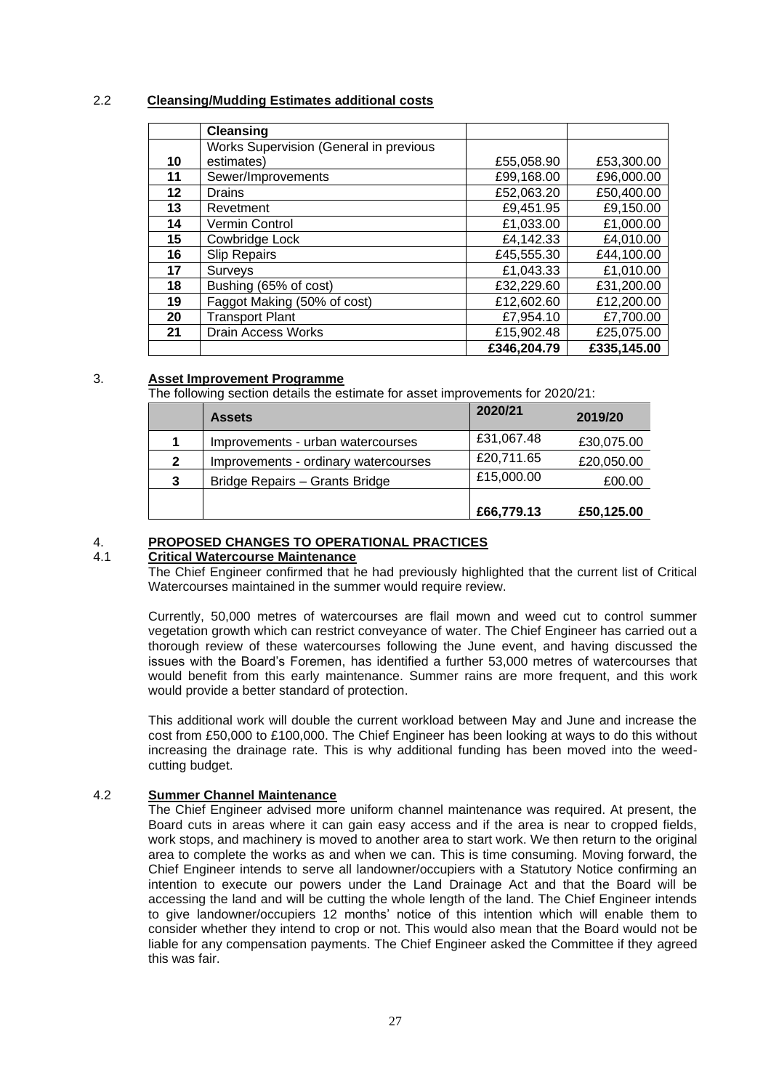### 2.2 **Cleansing/Mudding Estimates additional costs**

|    | <b>Cleansing</b>                       |             |             |
|----|----------------------------------------|-------------|-------------|
|    | Works Supervision (General in previous |             |             |
| 10 | estimates)                             | £55,058.90  | £53,300.00  |
| 11 | Sewer/Improvements                     | £99,168.00  | £96,000.00  |
| 12 | Drains                                 | £52,063.20  | £50,400.00  |
| 13 | Revetment                              | £9,451.95   | £9,150.00   |
| 14 | <b>Vermin Control</b>                  | £1,033.00   | £1,000.00   |
| 15 | Cowbridge Lock                         | £4,142.33   | £4,010.00   |
| 16 | <b>Slip Repairs</b>                    | £45,555.30  | £44,100.00  |
| 17 | Surveys                                | £1,043.33   | £1,010.00   |
| 18 | Bushing (65% of cost)                  | £32,229.60  | £31,200.00  |
| 19 | Faggot Making (50% of cost)            | £12,602.60  | £12,200.00  |
| 20 | <b>Transport Plant</b>                 | £7,954.10   | £7,700.00   |
| 21 | <b>Drain Access Works</b>              | £15,902.48  | £25,075.00  |
|    |                                        | £346,204.79 | £335,145.00 |

### 3. **Asset Improvement Programme**

The following section details the estimate for asset improvements for 2020/21:

|              | <b>Assets</b>                        | 2020/21    | 2019/20    |
|--------------|--------------------------------------|------------|------------|
|              | Improvements - urban watercourses    | £31,067.48 | £30,075.00 |
| $\mathbf{2}$ | Improvements - ordinary watercourses | £20,711.65 | £20,050.00 |
| 3            | Bridge Repairs - Grants Bridge       | £15,000.00 | £00.00     |
|              |                                      | £66,779.13 | £50,125.00 |

## 4. **PROPOSED CHANGES TO OPERATIONAL PRACTICES**

#### 4.1 **Critical Watercourse Maintenance**

The Chief Engineer confirmed that he had previously highlighted that the current list of Critical Watercourses maintained in the summer would require review.

Currently, 50,000 metres of watercourses are flail mown and weed cut to control summer vegetation growth which can restrict conveyance of water. The Chief Engineer has carried out a thorough review of these watercourses following the June event, and having discussed the issues with the Board's Foremen, has identified a further 53,000 metres of watercourses that would benefit from this early maintenance. Summer rains are more frequent, and this work would provide a better standard of protection.

This additional work will double the current workload between May and June and increase the cost from £50,000 to £100,000. The Chief Engineer has been looking at ways to do this without increasing the drainage rate. This is why additional funding has been moved into the weedcutting budget.

#### 4.2 **Summer Channel Maintenance**

The Chief Engineer advised more uniform channel maintenance was required. At present, the Board cuts in areas where it can gain easy access and if the area is near to cropped fields, work stops, and machinery is moved to another area to start work. We then return to the original area to complete the works as and when we can. This is time consuming. Moving forward, the Chief Engineer intends to serve all landowner/occupiers with a Statutory Notice confirming an intention to execute our powers under the Land Drainage Act and that the Board will be accessing the land and will be cutting the whole length of the land. The Chief Engineer intends to give landowner/occupiers 12 months' notice of this intention which will enable them to consider whether they intend to crop or not. This would also mean that the Board would not be liable for any compensation payments. The Chief Engineer asked the Committee if they agreed this was fair.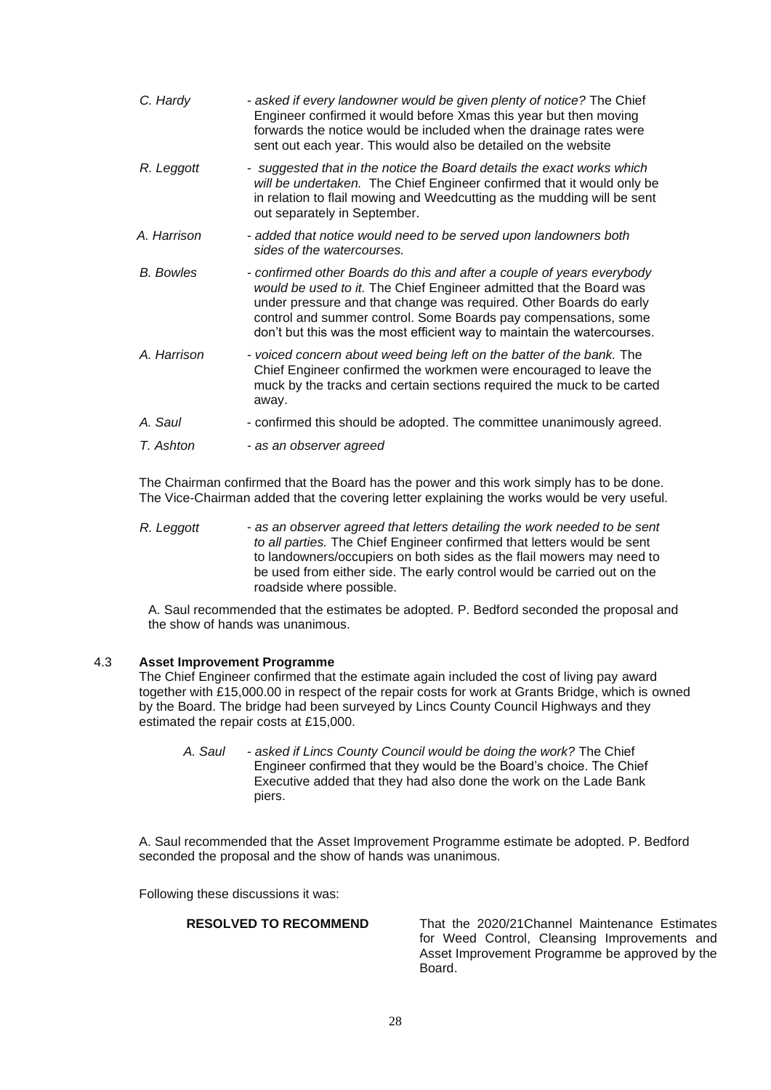| C. Hardy         | - asked if every landowner would be given plenty of notice? The Chief<br>Engineer confirmed it would before Xmas this year but then moving<br>forwards the notice would be included when the drainage rates were<br>sent out each year. This would also be detailed on the website                                                                                |
|------------------|-------------------------------------------------------------------------------------------------------------------------------------------------------------------------------------------------------------------------------------------------------------------------------------------------------------------------------------------------------------------|
| R. Leggott       | - suggested that in the notice the Board details the exact works which<br>will be undertaken. The Chief Engineer confirmed that it would only be<br>in relation to flail mowing and Weedcutting as the mudding will be sent<br>out separately in September.                                                                                                       |
| A. Harrison      | - added that notice would need to be served upon landowners both<br>sides of the watercourses.                                                                                                                                                                                                                                                                    |
| <b>B.</b> Bowles | - confirmed other Boards do this and after a couple of years everybody<br>would be used to it. The Chief Engineer admitted that the Board was<br>under pressure and that change was required. Other Boards do early<br>control and summer control. Some Boards pay compensations, some<br>don't but this was the most efficient way to maintain the watercourses. |
| A. Harrison      | - voiced concern about weed being left on the batter of the bank. The<br>Chief Engineer confirmed the workmen were encouraged to leave the<br>muck by the tracks and certain sections required the muck to be carted<br>away.                                                                                                                                     |
| A. Saul          | - confirmed this should be adopted. The committee unanimously agreed.                                                                                                                                                                                                                                                                                             |
| T. Ashton        | - as an observer agreed                                                                                                                                                                                                                                                                                                                                           |

The Chairman confirmed that the Board has the power and this work simply has to be done. The Vice-Chairman added that the covering letter explaining the works would be very useful.

*R. Leggott - as an observer agreed that letters detailing the work needed to be sent to all parties.* The Chief Engineer confirmed that letters would be sent to landowners/occupiers on both sides as the flail mowers may need to be used from either side. The early control would be carried out on the roadside where possible.

A. Saul recommended that the estimates be adopted. P. Bedford seconded the proposal and the show of hands was unanimous.

#### 4.3 **Asset Improvement Programme**

The Chief Engineer confirmed that the estimate again included the cost of living pay award together with £15,000.00 in respect of the repair costs for work at Grants Bridge, which is owned by the Board. The bridge had been surveyed by Lincs County Council Highways and they estimated the repair costs at £15,000.

*A. Saul - asked if Lincs County Council would be doing the work?* The Chief Engineer confirmed that they would be the Board's choice. The Chief Executive added that they had also done the work on the Lade Bank piers.

A. Saul recommended that the Asset Improvement Programme estimate be adopted. P. Bedford seconded the proposal and the show of hands was unanimous.

Following these discussions it was:

**RESOLVED TO RECOMMEND** That the 2020/21Channel Maintenance Estimates for Weed Control, Cleansing Improvements and Asset Improvement Programme be approved by the Board.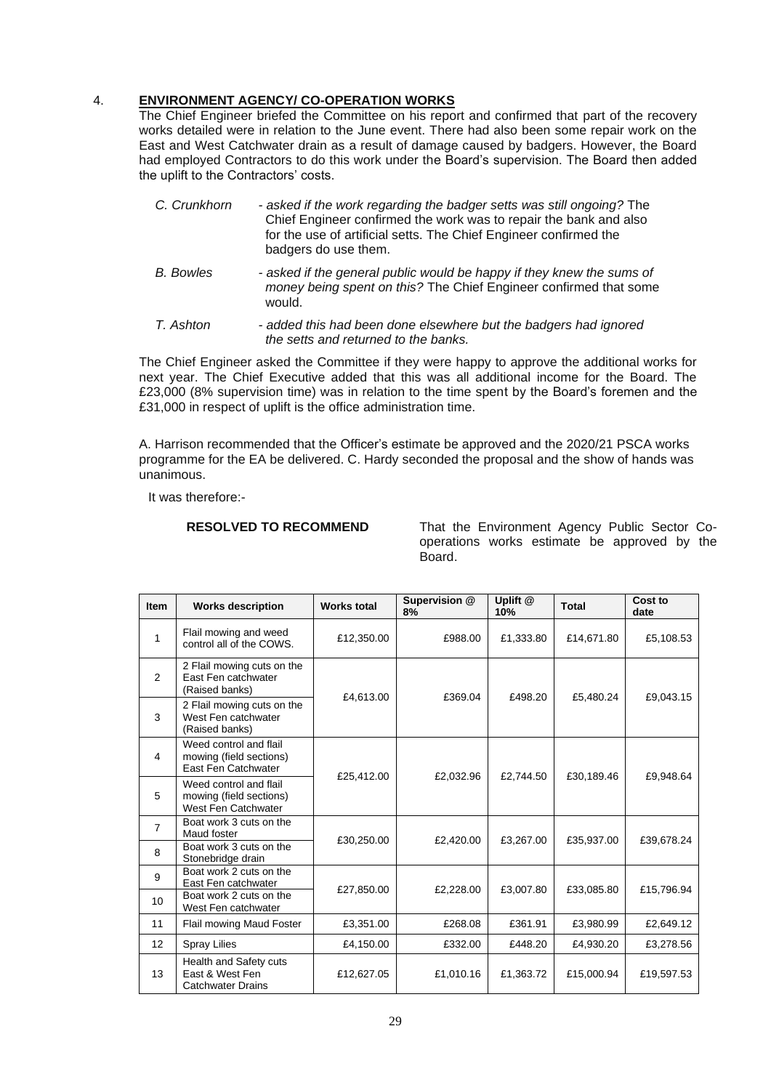#### 4. **ENVIRONMENT AGENCY/ CO-OPERATION WORKS**

The Chief Engineer briefed the Committee on his report and confirmed that part of the recovery works detailed were in relation to the June event. There had also been some repair work on the East and West Catchwater drain as a result of damage caused by badgers. However, the Board had employed Contractors to do this work under the Board's supervision. The Board then added the uplift to the Contractors' costs.

| C. Crunkhorn | - asked if the work regarding the badger setts was still ongoing? The<br>Chief Engineer confirmed the work was to repair the bank and also<br>for the use of artificial setts. The Chief Engineer confirmed the |
|--------------|-----------------------------------------------------------------------------------------------------------------------------------------------------------------------------------------------------------------|
|              | badgers do use them.                                                                                                                                                                                            |

- *B. Bowles - asked if the general public would be happy if they knew the sums of money being spent on this?* The Chief Engineer confirmed that some would.
- *T. Ashton - added this had been done elsewhere but the badgers had ignored the setts and returned to the banks.*

The Chief Engineer asked the Committee if they were happy to approve the additional works for next year. The Chief Executive added that this was all additional income for the Board. The £23,000 (8% supervision time) was in relation to the time spent by the Board's foremen and the £31,000 in respect of uplift is the office administration time.

A. Harrison recommended that the Officer's estimate be approved and the 2020/21 PSCA works programme for the EA be delivered. C. Hardy seconded the proposal and the show of hands was unanimous.

It was therefore:-

**RESOLVED TO RECOMMEND** That the Environment Agency Public Sector Cooperations works estimate be approved by the Board.

| <b>Item</b>    | <b>Works description</b>                                                 | <b>Works total</b> | Supervision @<br>8% | Uplift @<br>10% | <b>Total</b> | Cost to<br>date |
|----------------|--------------------------------------------------------------------------|--------------------|---------------------|-----------------|--------------|-----------------|
| $\mathbf{1}$   | Flail mowing and weed<br>control all of the COWS.                        | £12,350.00         | £988.00             | £1,333.80       | £14,671.80   | £5,108.53       |
| $\overline{2}$ | 2 Flail mowing cuts on the<br>East Fen catchwater<br>(Raised banks)      | £4,613.00          | £369.04             | £498.20         |              |                 |
| 3              | 2 Flail mowing cuts on the<br>West Fen catchwater<br>(Raised banks)      |                    |                     |                 | £5,480.24    | £9,043.15       |
| 4              | Weed control and flail<br>mowing (field sections)<br>East Fen Catchwater | £25,412.00         | £2,032.96           | £2.744.50       | £30,189.46   | £9,948.64       |
| 5              | Weed control and flail<br>mowing (field sections)<br>West Fen Catchwater |                    |                     |                 |              |                 |
| $\overline{7}$ | Boat work 3 cuts on the<br>Maud foster                                   | £30,250.00         | £2,420.00           | £3,267.00       | £35,937.00   | £39,678.24      |
| 8              | Boat work 3 cuts on the<br>Stonebridge drain                             |                    |                     |                 |              |                 |
| 9              | Boat work 2 cuts on the<br>East Fen catchwater                           | £27,850.00         | £2,228.00           | £3,007.80       | £33,085.80   | £15,796.94      |
| 10             | Boat work 2 cuts on the<br>West Fen catchwater                           |                    |                     |                 |              |                 |
| 11             | Flail mowing Maud Foster                                                 | £3,351.00          | £268.08             | £361.91         | £3,980.99    | £2,649.12       |
| 12             | Spray Lilies                                                             | £4,150.00          | £332.00             | £448.20         | £4,930.20    | £3,278.56       |
| 13             | Health and Safety cuts<br>East & West Fen<br><b>Catchwater Drains</b>    | £12,627.05         | £1,010.16           | £1,363.72       | £15,000.94   | £19,597.53      |